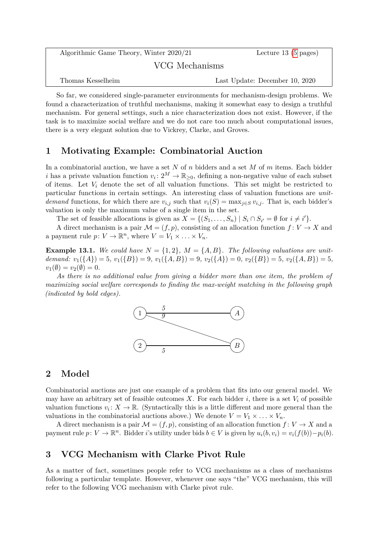| Algorithmic Game Theory, Winter 2020/21 | Lecture 13 $(5 \text{ pages})$ |
|-----------------------------------------|--------------------------------|
| VCG Mechanisms                          |                                |
| Thomas Kesselheim                       | Last Update: December 10, 2020 |

So far, we considered single-parameter environments for mechanism-design problems. We found a characterization of truthful mechanisms, making it somewhat easy to design a truthful mechanism. For general settings, such a nice characterization does not exist. However, if the task is to maximize social welfare and we do not care too much about computational issues, there is a very elegant solution due to Vickrey, Clarke, and Groves.

# **1 Motivating Example: Combinatorial Auction**

In a combinatorial auction, we have a set *N* of *n* bidders and a set *M* of *m* items. Each bidder *i* has a private valuation function  $v_i: 2^M \to \mathbb{R}_{\geq 0}$ , defining a non-negative value of each subset of items. Let *V<sup>i</sup>* denote the set of all valuation functions. This set might be restricted to particular functions in certain settings. An interesting class of valuation functions are *unitdemand* functions, for which there are  $v_{i,j}$  such that  $v_i(S) = \max_{j \in S} v_{i,j}$ . That is, each bidder's valuation is only the maximum value of a single item in the set.

The set of feasible allocations is given as  $X = \{(S_1, \ldots, S_n) | S_i \cap S_{i'} = \emptyset \text{ for } i \neq i'\}.$ 

A direct mechanism is a pair  $\mathcal{M} = (f, p)$ , consisting of an allocation function  $f: V \to X$  and a payment rule  $p: V \to \mathbb{R}^n$ , where  $V = V_1 \times \ldots \times V_n$ .

**Example 13.1.** We could have  $N = \{1, 2\}$ ,  $M = \{A, B\}$ . The following valuations are unit*demand:*  $v_1({A}) = 5$ ,  $v_1({B}) = 9$ ,  $v_1({A}, B) = 9$ ,  $v_2({A}) = 0$ ,  $v_2({B}) = 5$ ,  $v_2({A}, B) = 5$ ,  $v_1(\emptyset) = v_2(\emptyset) = 0.$ 

*As there is no additional value from giving a bidder more than one item, the problem of maximizing social welfare corresponds to finding the max-weight matching in the following graph (indicated by bold edges).*



## **2 Model**

Combinatorial auctions are just one example of a problem that fits into our general model. We may have an arbitrary set of feasible outcomes  $X$ . For each bidder  $i$ , there is a set  $V_i$  of possible valuation functions  $v_i: X \to \mathbb{R}$ . (Syntactically this is a little different and more general than the valuations in the combinatorial auctions above.) We denote  $V = V_1 \times \ldots \times V_n$ .

A direct mechanism is a pair  $\mathcal{M} = (f, p)$ , consisting of an allocation function  $f: V \to X$  and a payment rule  $p: V \to \mathbb{R}^n$ . Bidder *i*'s utility under bids  $b \in V$  is given by  $u_i(b, v_i) = v_i(f(b)) - p_i(b)$ .

# **3 VCG Mechanism with Clarke Pivot Rule**

As a matter of fact, sometimes people refer to VCG mechanisms as a class of mechanisms following a particular template. However, whenever one says "the" VCG mechanism, this will refer to the following VCG mechanism with Clarke pivot rule.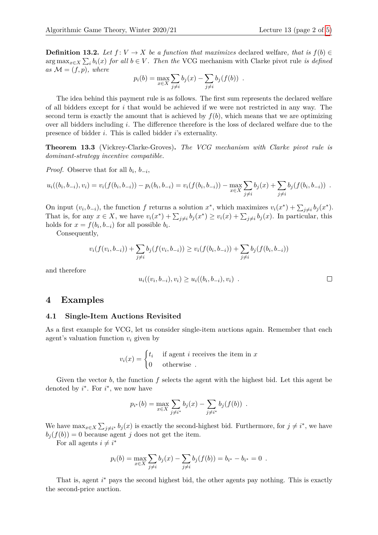**Definition 13.2.** *Let*  $f: V \to X$  *be a function that maximizes* declared welfare, that is  $f(b) \in$  $\arg \max_{x \in X} \sum_{i} b_i(x)$  *for all*  $b \in V$ . Then the VCG mechanism with Clarke pivot rule *is defined as*  $M = (f, p)$ *, where* 

$$
p_i(b) = \max_{x \in X} \sum_{j \neq i} b_j(x) - \sum_{j \neq i} b_j(f(b))
$$
.

The idea behind this payment rule is as follows. The first sum represents the declared welfare of all bidders except for *i* that would be achieved if we were not restricted in any way. The second term is exactly the amount that is achieved by  $f(b)$ , which means that we are optimizing over all bidders including *i*. The difference therefore is the loss of declared welfare due to the presence of bidder *i*. This is called bidder *i*'s externality.

**Theorem 13.3** (Vickrey-Clarke-Groves)**.** *The VCG mechanism with Clarke pivot rule is dominant-strategy incentive compatible.*

*Proof.* Observe that for all  $b_i$ ,  $b_{-i}$ ,

$$
u_i((b_i,b_{-i}),v_i) = v_i(f(b_i,b_{-i})) - p_i(b_i,b_{-i}) = v_i(f(b_i,b_{-i})) - \max_{x \in X} \sum_{j \neq i} b_j(x) + \sum_{j \neq i} b_j(f(b_i,b_{-i}))
$$

On input  $(v_i, b_{-i})$ , the function *f* returns a solution  $x^*$ , which maximizes  $v_i(x^*) + \sum_{j \neq i} b_j(x^*)$ . That is, for any  $x \in X$ , we have  $v_i(x^*) + \sum_{j \neq i} b_j(x^*) \ge v_i(x) + \sum_{j \neq i} b_j(x)$ . In particular, this holds for  $x = f(b_i, b_{-i})$  for all possible  $b_i$ .

Consequently,

$$
v_i(f(v_i, b_{-i})) + \sum_{j \neq i} b_j(f(v_i, b_{-i})) \ge v_i(f(b_i, b_{-i})) + \sum_{j \neq i} b_j(f(b_i, b_{-i}))
$$

and therefore

$$
u_i((v_i, b_{-i}), v_i) \ge u_i((b_i, b_{-i}), v_i)
$$
.

### **4 Examples**

#### **4.1 Single-Item Auctions Revisited**

As a first example for VCG, let us consider single-item auctions again. Remember that each agent's valuation function *v<sup>i</sup>* given by

$$
v_i(x) = \begin{cases} t_i & \text{if agent } i \text{ receives the item in } x \\ 0 & \text{otherwise} \end{cases}
$$

Given the vector *b*, the function *f* selects the agent with the highest bid. Let this agent be denoted by  $i^*$ . For  $i^*$ , we now have

$$
p_{i^*}(b) = \max_{x \in X} \sum_{j \neq i^*} b_j(x) - \sum_{j \neq i^*} b_j(f(b)) .
$$

We have  $\max_{x \in X} \sum_{j \neq i^*} b_j(x)$  is exactly the second-highest bid. Furthermore, for  $j \neq i^*$ , we have  $b_i(f(b)) = 0$  because agent *j* does not get the item.

For all agents  $i \neq i^*$ 

$$
p_i(b) = \max_{x \in X} \sum_{j \neq i} b_j(x) - \sum_{j \neq i} b_j(f(b)) = b_{i^*} - b_{i^*} = 0.
$$

That is, agent *i*<sup>∗</sup> pays the second highest bid, the other agents pay nothing. This is exactly the second-price auction.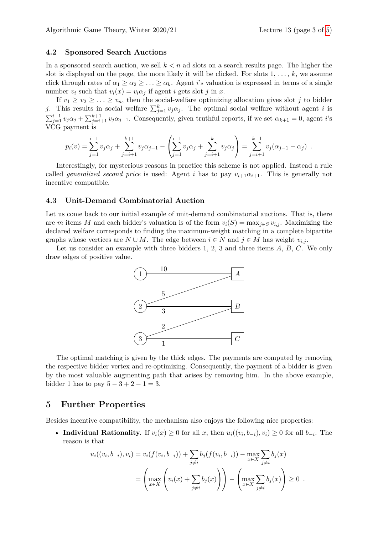#### **4.2 Sponsored Search Auctions**

In a sponsored search auction, we sell  $k < n$  ad slots on a search results page. The higher the slot is displayed on the page, the more likely it will be clicked. For slots  $1, \ldots, k$ , we assume click through rates of  $\alpha_1 \geq \alpha_2 \geq \ldots \geq \alpha_k$ . Agent *i*'s valuation is expressed in terms of a single number  $v_i$  such that  $v_i(x) = v_i \alpha_j$  if agent *i* gets slot *j* in *x*.

If  $v_1 \ge v_2 \ge \ldots \ge v_n$ , then the social-welfare optimizing allocation gives slot *j* to bidder *j*. This results in social welfare  $\sum_{j=1}^{k} v_j \alpha_j$ . The optimal social welfare without agent *i* is  $\sum_{j=1}^{i-1} v_j \alpha_j + \sum_{j=i+1}^{k+1} v_j \alpha_{j-1}$ . Consequently, given truthful reports, if we set  $\alpha_{k+1} = 0$ , agent *i*'s VCG payment is

$$
p_i(v) = \sum_{j=1}^{i-1} v_j \alpha_j + \sum_{j=i+1}^{k+1} v_j \alpha_{j-1} - \left( \sum_{j=1}^{i-1} v_j \alpha_j + \sum_{j=i+1}^k v_j \alpha_j \right) = \sum_{j=i+1}^{k+1} v_j (\alpha_{j-1} - \alpha_j) .
$$

Interestingly, for mysterious reasons in practice this scheme is not applied. Instead a rule called *generalized second price* is used: Agent *i* has to pay  $v_{i+1}\alpha_{i+1}$ . This is generally not incentive compatible.

#### **4.3 Unit-Demand Combinatorial Auction**

Let us come back to our initial example of unit-demand combinatorial auctions. That is, there are *m* items *M* and each bidder's valuation is of the form  $v_i(S) = \max_{j \in S} v_{i,j}$ . Maximizing the declared welfare corresponds to finding the maximum-weight matching in a complete bipartite graphs whose vertices are  $N \cup M$ . The edge between  $i \in N$  and  $j \in M$  has weight  $v_{i,j}$ .

Let us consider an example with three bidders 1, 2, 3 and three items *A*, *B*, *C*. We only draw edges of positive value.



The optimal matching is given by the thick edges. The payments are computed by removing the respective bidder vertex and re-optimizing. Consequently, the payment of a bidder is given by the most valuable augmenting path that arises by removing him. In the above example, bidder 1 has to pay  $5 - 3 + 2 - 1 = 3$ .

### **5 Further Properties**

Besides incentive compatibility, the mechanism also enjoys the following nice properties:

• **Individual Rationality.** If  $v_i(x) \geq 0$  for all x, then  $u_i((v_i, b_{-i}), v_i) \geq 0$  for all  $b_{-i}$ . The reason is that

$$
u_i((v_i, b_{-i}), v_i) = v_i(f(v_i, b_{-i})) + \sum_{j \neq i} b_j(f(v_i, b_{-i})) - \max_{x \in X} \sum_{j \neq i} b_j(x)
$$
  
= 
$$
\left( \max_{x \in X} \left( v_i(x) + \sum_{j \neq i} b_j(x) \right) \right) - \left( \max_{x \in X} \sum_{j \neq i} b_j(x) \right) \geq 0.
$$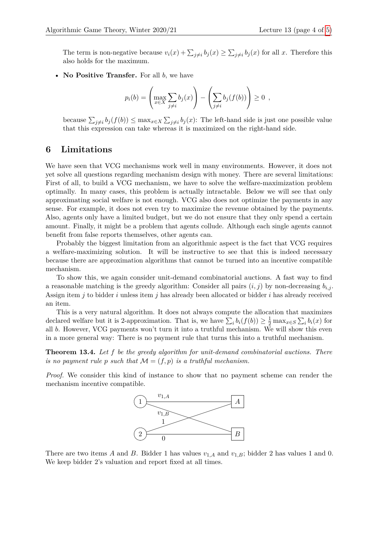• **No Positive Transfer.** For all *b*, we have

$$
p_i(b) = \left(\max_{x \in X} \sum_{j \neq i} b_j(x)\right) - \left(\sum_{j \neq i} b_j(f(b))\right) \geq 0,
$$

because  $\sum_{j\neq i} b_j(f(b)) \leq \max_{x \in X} \sum_{j\neq i} b_j(x)$ : The left-hand side is just one possible value that this expression can take whereas it is maximized on the right-hand side.

## **6 Limitations**

We have seen that VCG mechanisms work well in many environments. However, it does not yet solve all questions regarding mechanism design with money. There are several limitations: First of all, to build a VCG mechanism, we have to solve the welfare-maximization problem optimally. In many cases, this problem is actually intractable. Below we will see that only approximating social welfare is not enough. VCG also does not optimize the payments in any sense. For example, it does not even try to maximize the revenue obtained by the payments. Also, agents only have a limited budget, but we do not ensure that they only spend a certain amount. Finally, it might be a problem that agents collude. Although each single agents cannot benefit from false reports themselves, other agents can.

Probably the biggest limitation from an algorithmic aspect is the fact that VCG requires a welfare-maximizing solution. It will be instructive to see that this is indeed necessary because there are approximation algorithms that cannot be turned into an incentive compatible mechanism.

To show this, we again consider unit-demand combinatorial auctions. A fast way to find a reasonable matching is the greedy algorithm: Consider all pairs  $(i, j)$  by non-decreasing  $b_{i,j}$ . Assign item *j* to bidder *i* unless item *j* has already been allocated or bidder *i* has already received an item.

This is a very natural algorithm. It does not always compute the allocation that maximizes declared welfare but it is 2-approximation. That is, we have  $\sum_i b_i(f(b)) \geq \frac{1}{2} \max_{x \in S} \sum_i b_i(x)$  for all *b*. However, VCG payments won't turn it into a truthful mechanism. We will show this even in a more general way: There is no payment rule that turns this into a truthful mechanism.

**Theorem 13.4.** *Let f be the greedy algorithm for unit-demand combinatorial auctions. There is no payment rule p such that*  $M = (f, p)$  *is a truthful mechanism.* 

*Proof.* We consider this kind of instance to show that no payment scheme can render the mechanism incentive compatible.



There are two items *A* and *B*. Bidder 1 has values  $v_{1,A}$  and  $v_{1,B}$ ; bidder 2 has values 1 and 0. We keep bidder 2's valuation and report fixed at all times.